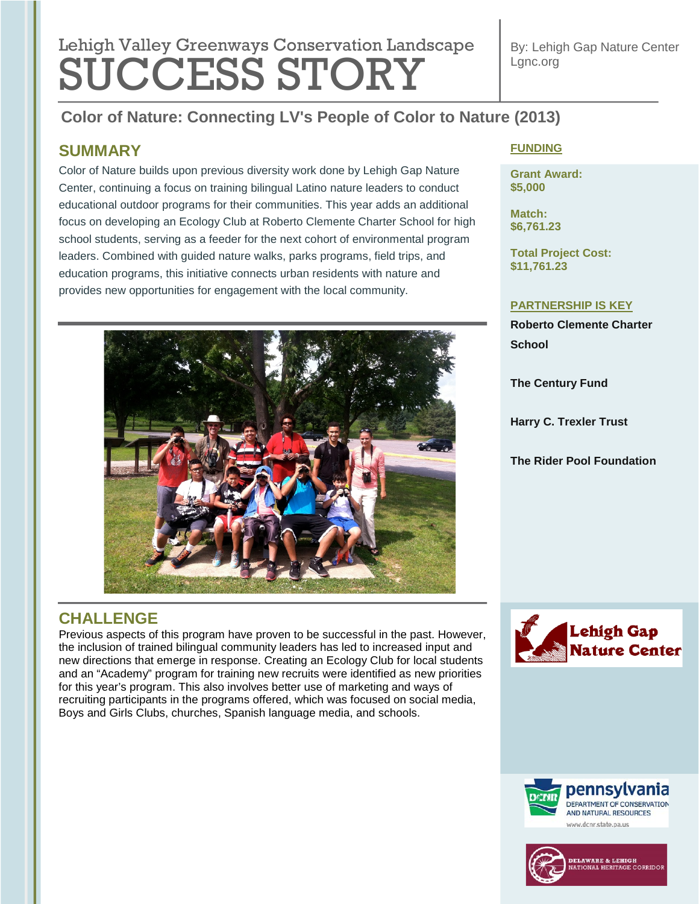# **Lebish Velley Que environmental regulation Lengtheres** Lehigh Valley Greenways Conservation Landscape **SÜCCESS STORY**

By: Lehigh Gap Nature Center Lgnc.org

## **Color of Nature: Connecting LV's People of Color to Nature (2013)**

### **SUMMARY**

Color of Nature builds upon previous diversity work done by Lehigh Gap Nature Center, continuing a focus on training bilingual Latino nature leaders to conduct educational outdoor programs for their communities. This year adds an additional focus on developing an Ecology Club at Roberto Clemente Charter School for high school students, serving as a feeder for the next cohort of environmental program leaders. Combined with guided nature walks, parks programs, field trips, and education programs, this initiative connects urban residents with nature and provides new opportunities for engagement with the local community.



### **CHALLENGE**

Previous aspects of this program have proven to be successful in the past. However, the inclusion of trained bilingual community leaders has led to increased input and new directions that emerge in response. Creating an Ecology Club for local students and an "Academy" program for training new recruits were identified as new priorities for this year's program. This also involves better use of marketing and ways of recruiting participants in the programs offered, which was focused on social media, Boys and Girls Clubs, churches, Spanish language media, and schools.

#### **FUNDING**

**Grant Award: \$5,000**

**Match: \$6,761.23**

**Total Project Cost: \$11,761.23**

#### **PARTNERSHIP IS KEY**

**Roberto Clemente Charter School**

**The Century Fund**

**Harry C. Trexler Trust**

**The Rider Pool Foundation**